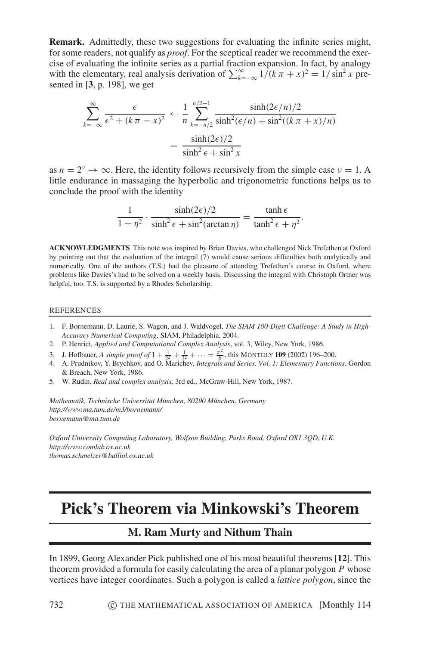**Remark.** Admittedly, these two suggestions for evaluating the infinite series might, for some readers, not qualify as *proof*. For the sceptical reader we recommend the exercise of evaluating the infinite series as a partial fraction expansion. In fact, by analogy with the elementary, real analysis derivation of  $\sum_{k=-\infty}^{\infty} \frac{1}{k\pi + x^2} = \frac{1}{\sin^2 x}$  presented in [**3**, p. 198], we get

$$
\sum_{k=-\infty}^{\infty} \frac{\epsilon}{\epsilon^2 + (k\pi + x)^2} \leftarrow \frac{1}{n} \sum_{k=-n/2}^{n/2-1} \frac{\sinh(2\epsilon/n)/2}{\sinh^2(\epsilon/n) + \sin^2((k\pi + x)/n)} = \frac{\sinh(2\epsilon)/2}{\sinh^2 \epsilon + \sin^2 x}
$$

as  $n = 2^{\nu} \rightarrow \infty$ . Here, the identity follows recursively from the simple case  $\nu = 1$ . A little endurance in massaging the hyperbolic and trigonometric functions helps us to conclude the proof with the identity

$$
\frac{1}{1+\eta^2} \cdot \frac{\sinh(2\epsilon)/2}{\sinh^2 \epsilon + \sin^2(\arctan \eta)} = \frac{\tanh \epsilon}{\tanh^2 \epsilon + \eta^2}.
$$

**ACKNOWLEDGMENTS** This note was inspired by Brian Davies, who challenged Nick Trefethen at Oxford by pointing out that the evaluation of the integral (7) would cause serious difficulties both analytically and numerically. One of the authors (T.S.) had the pleasure of attending Trefethen's course in Oxford, where problems like Davies's had to be solved on a weekly basis. Discussing the integral with Christoph Ortner was helpful, too. T.S. is supported by a Rhodes Scholarship.

## REFERENCES

- 1. F. Bornemann, D. Laurie, S. Wagon, and J. Waldvogel, *The SIAM 100-Digit Challenge: A Study in High-Accuracy Numerical Computing*, SIAM, Philadelphia, 2004.
- 2. P. Henrici, *Applied and Computational Complex Analysis*, vol. 3, Wiley, New York, 1986.
- 3. J. Hofbauer, *A simple proof of*  $1 + \frac{1}{2^2} + \frac{1}{3^2} + \cdots = \frac{\pi^2}{6}$ , this MONTHLY **109** (2002) 196–200.
- 4. A. Prudnikov, Y. Brychkov, and O. Marichev, *Integrals and Series. Vol. 1: Elementary Functions*, Gordon & Breach, New York, 1986.
- 5. W. Rudin, *Real and complex analysis*, 3rd ed., McGraw-Hill, New York, 1987.

*Mathematik, Technische Universitat M¨ unchen, 80290 M ¨ unchen, Germany ¨ http://www.ma.tum.de/m3/bornemann/ bornemann@ma.tum.de*

*Oxford University Computing Laboratory, Wolfson Building, Parks Road, Oxford OX1 3QD, U.K. http://www.comlab.ox.ac.uk thomas.schmelzer@balliol.ox.ac.uk*

## **Pick's Theorem via Minkowski's Theorem**

## **M. Ram Murty and Nithum Thain**

In 1899, Georg Alexander Pick published one of his most beautiful theorems [**12**]. This theorem provided a formula for easily calculating the area of a planar polygon *P* whose vertices have integer coordinates. Such a polygon is called a *lattice polygon*, since the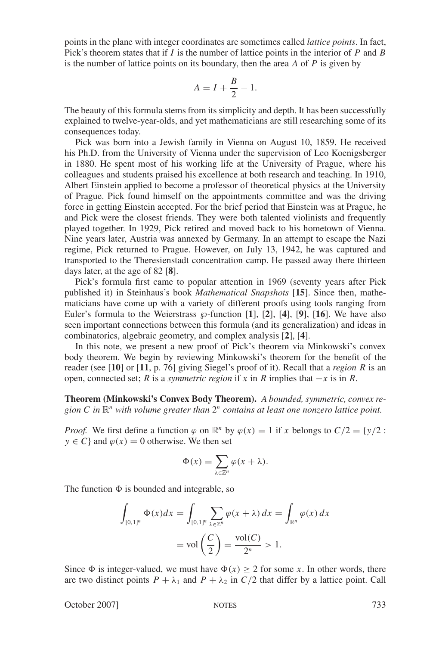points in the plane with integer coordinates are sometimes called *lattice points*. In fact, Pick's theorem states that if *I* is the number of lattice points in the interior of *P* and *B* is the number of lattice points on its boundary, then the area *A* of *P* is given by

$$
A = I + \frac{B}{2} - 1.
$$

The beauty of this formula stems from its simplicity and depth. It has been successfully explained to twelve-year-olds, and yet mathematicians are still researching some of its consequences today.

Pick was born into a Jewish family in Vienna on August 10, 1859. He received his Ph.D. from the University of Vienna under the supervision of Leo Koenigsberger in 1880. He spent most of his working life at the University of Prague, where his colleagues and students praised his excellence at both research and teaching. In 1910, Albert Einstein applied to become a professor of theoretical physics at the University of Prague. Pick found himself on the appointments committee and was the driving force in getting Einstein accepted. For the brief period that Einstein was at Prague, he and Pick were the closest friends. They were both talented violinists and frequently played together. In 1929, Pick retired and moved back to his hometown of Vienna. Nine years later, Austria was annexed by Germany. In an attempt to escape the Nazi regime, Pick returned to Prague. However, on July 13, 1942, he was captured and transported to the Theresienstadt concentration camp. He passed away there thirteen days later, at the age of 82 [**8**].

Pick's formula first came to popular attention in 1969 (seventy years after Pick published it) in Steinhaus's book *Mathematical Snapshots* [**15**]. Since then, mathematicians have come up with a variety of different proofs using tools ranging from Euler's formula to the Weierstrass  $\wp$ -function [1], [2], [4], [9], [16]. We have also seen important connections between this formula (and its generalization) and ideas in combinatorics, algebraic geometry, and complex analysis [**2**], [**4**].

In this note, we present a new proof of Pick's theorem via Minkowski's convex body theorem. We begin by reviewing Minkowski's theorem for the benefit of the reader (see [**10**] or [**11**, p. 76] giving Siegel's proof of it). Recall that a *region R* is an open, connected set; *R* is a *symmetric region* if *x* in *R* implies that  $-x$  is in *R*.

**Theorem (Minkowski's Convex Body Theorem).** *A bounded, symmetric, convex region C in* R*<sup>n</sup> with volume greater than* 2*<sup>n</sup> contains at least one nonzero lattice point.*

*Proof.* We first define a function  $\varphi$  on  $\mathbb{R}^n$  by  $\varphi(x) = 1$  if *x* belongs to  $C/2 = \{y/2 :$  $y \in C$  and  $\varphi(x) = 0$  otherwise. We then set

$$
\Phi(x) = \sum_{\lambda \in \mathbb{Z}^n} \varphi(x + \lambda).
$$

The function  $\Phi$  is bounded and integrable, so

$$
\int_{[0,1]^n} \Phi(x)dx = \int_{[0,1]^n} \sum_{\lambda \in \mathbb{Z}^n} \varphi(x+\lambda) dx = \int_{\mathbb{R}^n} \varphi(x) dx
$$

$$
= \text{vol}\left(\frac{C}{2}\right) = \frac{\text{vol}(C)}{2^n} > 1.
$$

Since  $\Phi$  is integer-valued, we must have  $\Phi(x) \ge 2$  for some *x*. In other words, there are two distinct points  $P + \lambda_1$  and  $P + \lambda_2$  in  $C/2$  that differ by a lattice point. Call

October 2007] NOTES 733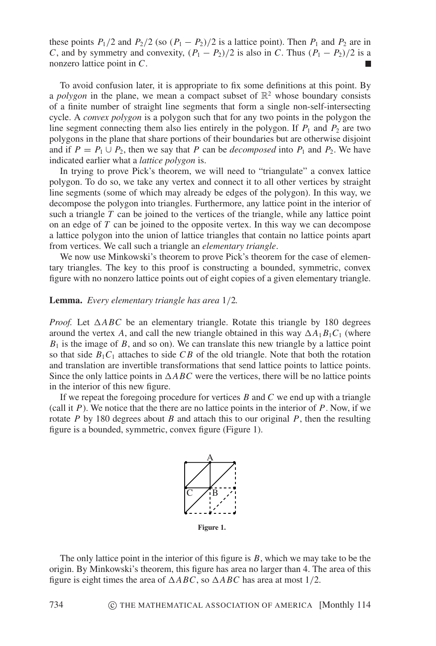these points  $P_1/2$  and  $P_2/2$  (so  $(P_1 - P_2)/2$  is a lattice point). Then  $P_1$  and  $P_2$  are in *C*, and by symmetry and convexity,  $(P_1 - P_2)/2$  is also in *C*. Thus  $(P_1 - P_2)/2$  is a nonzero lattice point in *C*.

To avoid confusion later, it is appropriate to fix some definitions at this point. By a *polygon* in the plane, we mean a compact subset of  $\mathbb{R}^2$  whose boundary consists of a finite number of straight line segments that form a single non-self-intersecting cycle. A *convex polygon* is a polygon such that for any two points in the polygon the line segment connecting them also lies entirely in the polygon. If  $P_1$  and  $P_2$  are two polygons in the plane that share portions of their boundaries but are otherwise disjoint and if  $P = P_1 \cup P_2$ , then we say that *P* can be *decomposed* into  $P_1$  and  $P_2$ . We have indicated earlier what a *lattice polygon* is.

In trying to prove Pick's theorem, we will need to "triangulate" a convex lattice polygon. To do so, we take any vertex and connect it to all other vertices by straight line segments (some of which may already be edges of the polygon). In this way, we decompose the polygon into triangles. Furthermore, any lattice point in the interior of such a triangle  $T$  can be joined to the vertices of the triangle, while any lattice point on an edge of *T* can be joined to the opposite vertex. In this way we can decompose a lattice polygon into the union of lattice triangles that contain no lattice points apart from vertices. We call such a triangle an *elementary triangle*.

We now use Minkowski's theorem to prove Pick's theorem for the case of elementary triangles. The key to this proof is constructing a bounded, symmetric, convex figure with no nonzero lattice points out of eight copies of a given elementary triangle.

**Lemma.** *Every elementary triangle has area* 1/2*.*

*Proof.* Let  $\triangle ABC$  be an elementary triangle. Rotate this triangle by 180 degrees around the vertex A, and call the new triangle obtained in this way  $\Delta A_1 B_1 C_1$  (where  $B_1$  is the image of  $B$ , and so on). We can translate this new triangle by a lattice point so that side  $B_1C_1$  attaches to side CB of the old triangle. Note that both the rotation and translation are invertible transformations that send lattice points to lattice points. Since the only lattice points in  $\triangle ABC$  were the vertices, there will be no lattice points in the interior of this new figure.

If we repeat the foregoing procedure for vertices *B* and *C* we end up with a triangle (call it  $P$ ). We notice that the there are no lattice points in the interior of  $P$ . Now, if we rotate *P* by 180 degrees about *B* and attach this to our original *P*, then the resulting figure is a bounded, symmetric, convex figure (Figure 1).



The only lattice point in the interior of this figure is *B*, which we may take to be the origin. By Minkowski's theorem, this figure has area no larger than 4. The area of this figure is eight times the area of  $\triangle ABC$ , so  $\triangle ABC$  has area at most 1/2.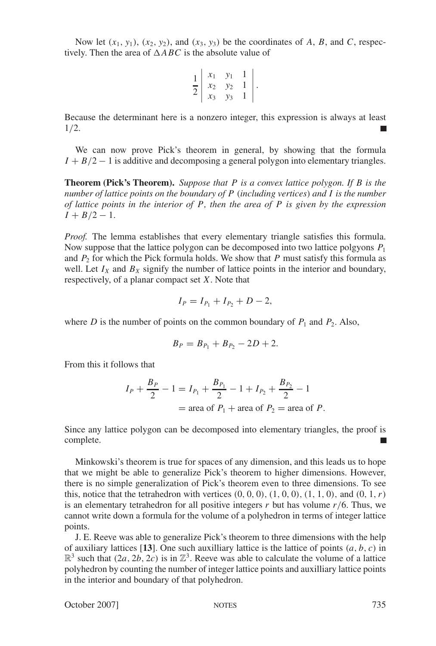Now let  $(x_1, y_1)$ ,  $(x_2, y_2)$ , and  $(x_3, y_3)$  be the coordinates of *A*, *B*, and *C*, respectively. Then the area of  $\triangle ABC$  is the absolute value of

$$
\frac{1}{2}\left|\begin{array}{ccc} x_1 & y_1 & 1 \\ x_2 & y_2 & 1 \\ x_3 & y_3 & 1 \end{array}\right|.
$$

Because the determinant here is a nonzero integer, this expression is always at least 1/2.

We can now prove Pick's theorem in general, by showing that the formula  $I + B/2 - 1$  is additive and decomposing a general polygon into elementary triangles.

**Theorem (Pick's Theorem).** *Suppose that P is a convex lattice polygon. If B is the number of lattice points on the boundary of P* (*including vertices*) *and I is the number of lattice points in the interior of P, then the area of P is given by the expression*  $I + B/2 - 1$ .

*Proof.* The lemma establishes that every elementary triangle satisfies this formula. Now suppose that the lattice polygon can be decomposed into two lattice polgyons *P*<sup>1</sup> and  $P_2$  for which the Pick formula holds. We show that  $P$  must satisfy this formula as well. Let  $I_X$  and  $B_X$  signify the number of lattice points in the interior and boundary, respectively, of a planar compact set *X*. Note that

$$
I_P = I_{P_1} + I_{P_2} + D - 2,
$$

where *D* is the number of points on the common boundary of  $P_1$  and  $P_2$ . Also,

$$
B_P = B_{P_1} + B_{P_2} - 2D + 2.
$$

From this it follows that

$$
I_P + \frac{B_P}{2} - 1 = I_{P_1} + \frac{B_{P_1}}{2} - 1 + I_{P_2} + \frac{B_{P_2}}{2} - 1
$$
  
= area of  $P_1$  + area of  $P_2$  = area of P.

Since any lattice polygon can be decomposed into elementary triangles, the proof is complete.

Minkowski's theorem is true for spaces of any dimension, and this leads us to hope that we might be able to generalize Pick's theorem to higher dimensions. However, there is no simple generalization of Pick's theorem even to three dimensions. To see this, notice that the tetrahedron with vertices  $(0, 0, 0)$ ,  $(1, 0, 0)$ ,  $(1, 1, 0)$ , and  $(0, 1, r)$ is an elementary tetrahedron for all positive integers  $r$  but has volume  $r/6$ . Thus, we cannot write down a formula for the volume of a polyhedron in terms of integer lattice points.

J. E. Reeve was able to generalize Pick's theorem to three dimensions with the help of auxiliary lattices [13]. One such auxilliary lattice is the lattice of points  $(a, b, c)$  in  $\mathbb{R}^3$  such that  $(2a, 2b, 2c)$  is in  $\mathbb{Z}^3$ . Reeve was able to calculate the volume of a lattice polyhedron by counting the number of integer lattice points and auxilliary lattice points in the interior and boundary of that polyhedron.